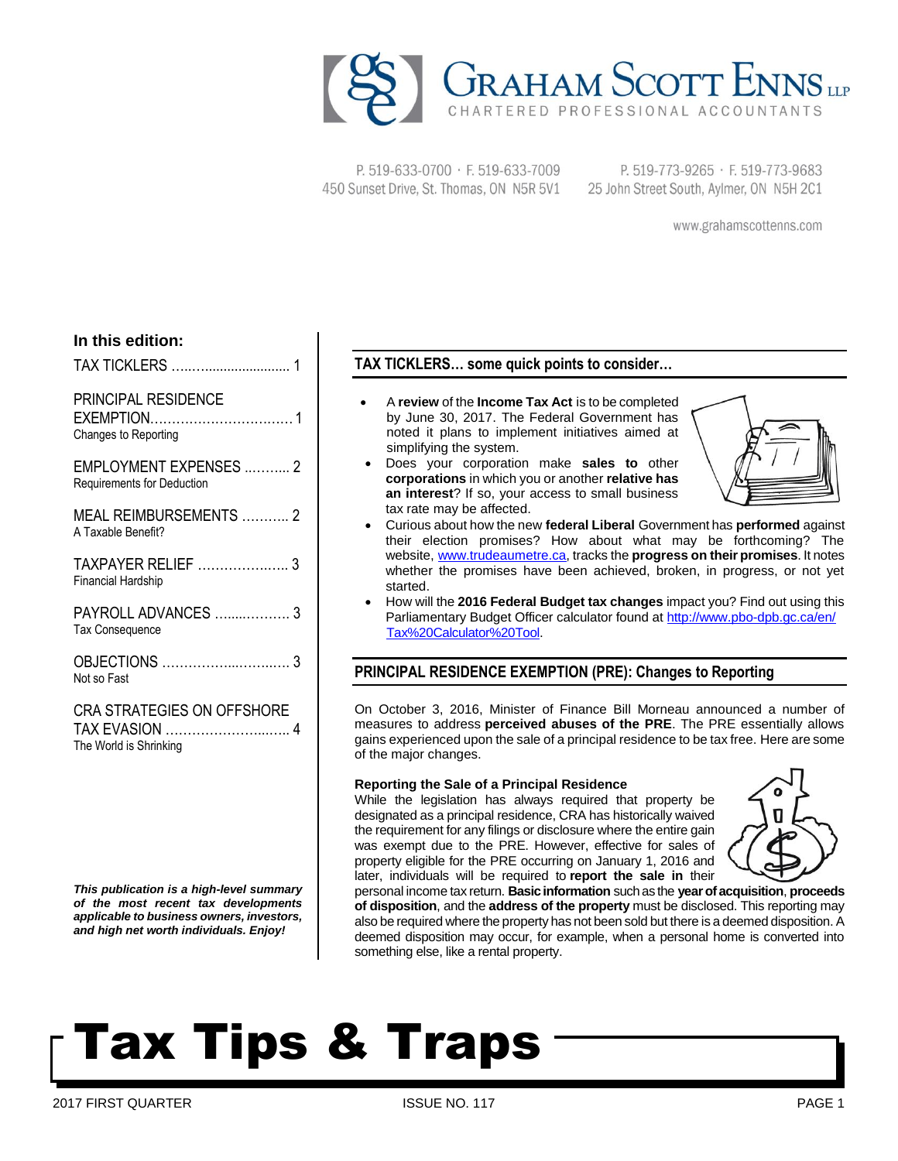

P. 519-633-0700 · F. 519-633-7009 450 Sunset Drive, St. Thomas, ON N5R 5V1

P. 519-773-9265 · F. 519-773-9683 25 John Street South, Aylmer, ON N5H 2C1

www.grahamscottenns.com

### **In this edition:**

TAX TICKLERS …..…....................... 1

## PRINCIPAL RESIDENCE

EXEMPTION……………………………1 Changes to Reporting

EMPLOYMENT EXPENSES ..……... 2 Requirements for Deduction

MEAL REIMBURSEMENTS ……….. 2 A Taxable Benefit?

TAXPAYER RELIEF …………….….. 3 Financial Hardship

PAYROLL ADVANCES ….....………. 3 Tax Consequence

OBJECTIONS ……………...……..…. 3 Not so Fast

CRA STRATEGIES ON OFFSHORE TAX EVASION …………………...….. 4 The World is Shrinking

*This publication is a high-level summary of the most recent tax developments applicable to business owners, investors, and high net worth individuals. Enjoy!*

## **TAX TICKLERS… some quick points to consider…**

- A **review** of the **Income Tax Act** is to be completed by June 30, 2017. The Federal Government has noted it plans to implement initiatives aimed at simplifying the system.
- Does your corporation make **sales to** other **corporations** in which you or another **relative has an interest**? If so, your access to small business tax rate may be affected.



- Curious about how the new **federal Liberal** Government has **performed** against their election promises? How about what may be forthcoming? The website, [www.trudeaumetre.ca,](http://www.trudeaumetre.ca/) tracks the **progress on their promises**. It notes whether the promises have been achieved, broken, in progress, or not yet started.
- How will the **2016 Federal Budget tax changes** impact you? Find out using this Parliamentary Budget Officer calculator found at [http://www.pbo-dpb.gc.ca/en/](http://www.pbo-dpb.gc.ca/en/Tax%20Calculator%20Tool) [Tax%20Calculator%20Tool.](http://www.pbo-dpb.gc.ca/en/Tax%20Calculator%20Tool)

## **PRINCIPAL RESIDENCE EXEMPTION (PRE): Changes to Reporting**

On October 3, 2016, Minister of Finance Bill Morneau announced a number of measures to address **perceived abuses of the PRE**. The PRE essentially allows gains experienced upon the sale of a principal residence to be tax free. Here are some of the major changes.

#### **Reporting the Sale of a Principal Residence**

While the legislation has always required that property be designated as a principal residence, CRA has historically waived the requirement for any filings or disclosure where the entire gain was exempt due to the PRE. However, effective for sales of property eligible for the PRE occurring on January 1, 2016 and later, individuals will be required to **report the sale in** their



personal income tax return. **Basic information** such as the **year of acquisition**, **proceeds of disposition**, and the **address of the property** must be disclosed. This reporting may also be required where the property has not been sold but there is a deemed disposition. A deemed disposition may occur, for example, when a personal home is converted into something else, like a rental property.

# Tax Tips & Traps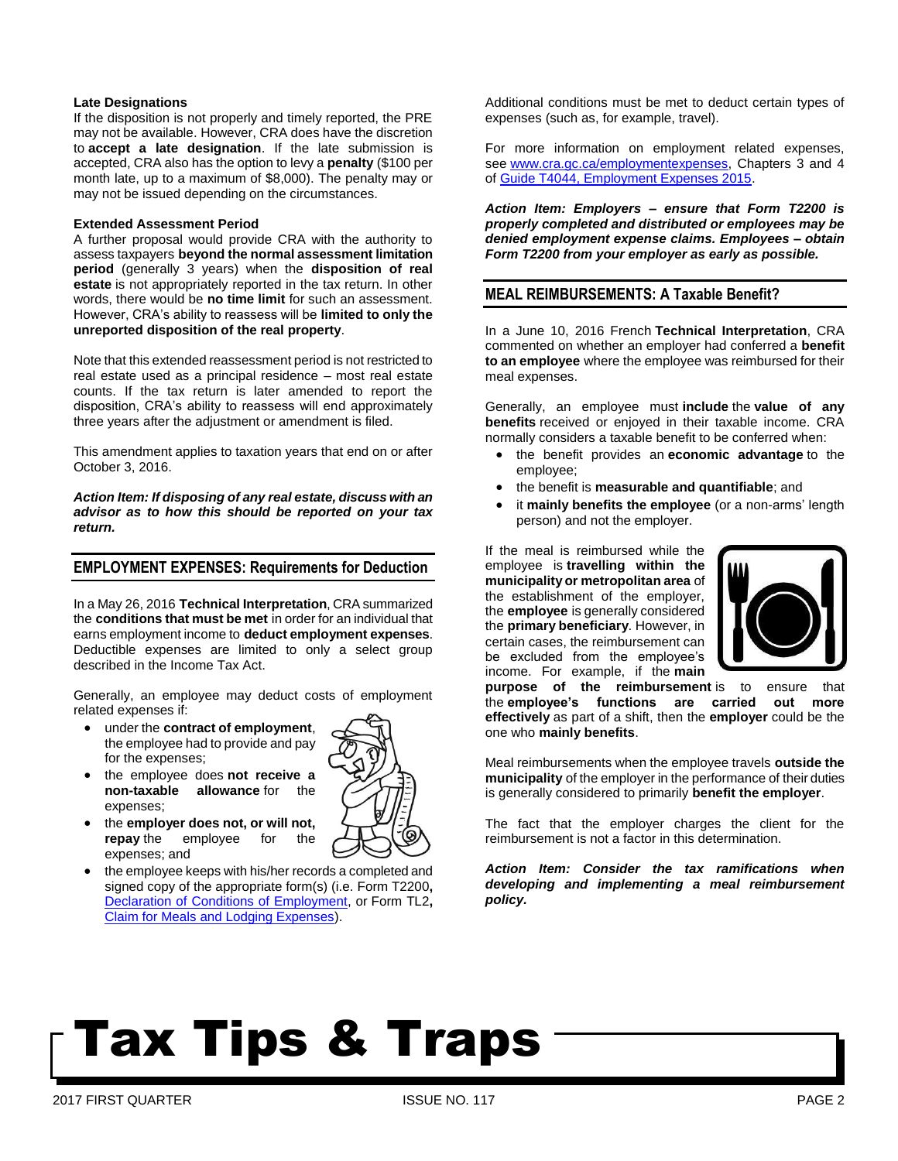### **Late Designations**

If the disposition is not properly and timely reported, the PRE may not be available. However, CRA does have the discretion to **accept a late designation**. If the late submission is accepted, CRA also has the option to levy a **penalty** (\$100 per month late, up to a maximum of \$8,000). The penalty may or may not be issued depending on the circumstances.

### **Extended Assessment Period**

A further proposal would provide CRA with the authority to assess taxpayers **beyond the normal assessment limitation period** (generally 3 years) when the **disposition of real estate** is not appropriately reported in the tax return. In other words, there would be **no time limit** for such an assessment. However, CRA's ability to reassess will be **limited to only the unreported disposition of the real property**.

Note that this extended reassessment period is not restricted to real estate used as a principal residence – most real estate counts. If the tax return is later amended to report the disposition, CRA's ability to reassess will end approximately three years after the adjustment or amendment is filed.

This amendment applies to taxation years that end on or after October 3, 2016.

*Action Item: If disposing of any real estate, discuss with an advisor as to how this should be reported on your tax return.*

### **EMPLOYMENT EXPENSES: Requirements for Deduction**

In a May 26, 2016 **Technical Interpretation**, CRA summarized the **conditions that must be met** in order for an individual that earns employment income to **deduct employment expenses**. Deductible expenses are limited to only a select group described in the Income Tax Act.

Generally, an employee may deduct costs of employment related expenses if:

- under the **contract of employment**, the employee had to provide and pay for the expenses;
- the employee does **not receive a non-taxable allowance** for the expenses;
- the **employer does not, or will not, repay** the employee for the expenses; and
- the employee keeps with his/her records a completed and signed copy of the appropriate form(s) (i.e. Form T2200**,** [Declaration of Conditions of Employment,](http://www.cra-arc.gc.ca/E/pbg/tf/t2200/README.html) or Form TL2**,**  [Claim for Meals and Lodging Expenses\)](http://www.cra-arc.gc.ca/E/pbg/tf/tl2/README.html).

Additional conditions must be met to deduct certain types of expenses (such as, for example, travel).

For more information on employment related expenses, see [www.cra.gc.ca/employmentexpenses,](http://www.cra.gc.ca/employmentexpenses) Chapters 3 and 4 of [Guide T4044, Employment Expenses 2015.](http://www.cra-arc.gc.ca/E/pub/tg/t4044/README.html)

*Action Item: Employers – ensure that Form T2200 is properly completed and distributed or employees may be denied employment expense claims. Employees – obtain Form T2200 from your employer as early as possible.* 

### **MEAL REIMBURSEMENTS: A Taxable Benefit?**

In a June 10, 2016 French **Technical Interpretation**, CRA commented on whether an employer had conferred a **benefit to an employee** where the employee was reimbursed for their meal expenses.

Generally, an employee must **include** the **value of any benefits** received or enjoyed in their taxable income. CRA normally considers a taxable benefit to be conferred when:

- the benefit provides an **economic advantage** to the employee;
- the benefit is **measurable and quantifiable**; and
- it **mainly benefits the employee** (or a non-arms' length person) and not the employer.

If the meal is reimbursed while the employee is **travelling within the municipality or metropolitan area** of the establishment of the employer, the **employee** is generally considered the **primary beneficiary**. However, in certain cases, the reimbursement can be excluded from the employee's income. For example, if the **main** 



**purpose of the reimbursement** is to ensure that the **employee's functions are carried out more effectively** as part of a shift, then the **employer** could be the one who **mainly benefits**.

Meal reimbursements when the employee travels **outside the municipality** of the employer in the performance of their duties is generally considered to primarily **benefit the employer**.

The fact that the employer charges the client for the reimbursement is not a factor in this determination.

*Action Item: Consider the tax ramifications when developing and implementing a meal reimbursement policy.*

# Tax Tips & Traps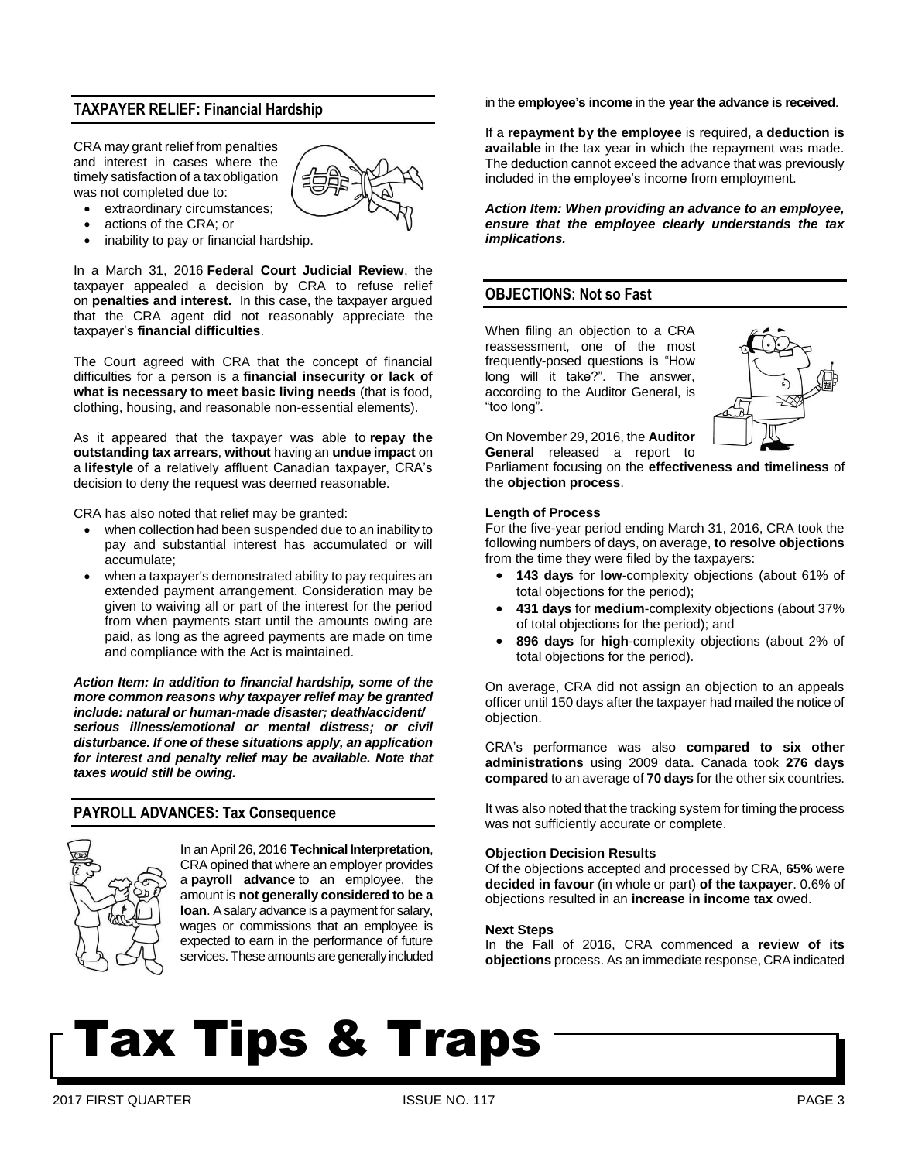## **TAXPAYER RELIEF: Financial Hardship**

CRA may grant relief from penalties and interest in cases where the timely satisfaction of a tax obligation was not completed due to:



- extraordinary circumstances;
- actions of the CRA; or
- inability to pay or financial hardship.

In a March 31, 2016 **Federal Court Judicial Review**, the taxpayer appealed a decision by CRA to refuse relief on **penalties and interest.** In this case, the taxpayer argued that the CRA agent did not reasonably appreciate the taxpayer's **financial difficulties**.

The Court agreed with CRA that the concept of financial difficulties for a person is a **financial insecurity or lack of what is necessary to meet basic living needs** (that is food, clothing, housing, and reasonable non-essential elements).

As it appeared that the taxpayer was able to **repay the outstanding tax arrears**, **without** having an **undue impact** on a **lifestyle** of a relatively affluent Canadian taxpayer, CRA's decision to deny the request was deemed reasonable.

CRA has also noted that relief may be granted:

- when collection had been suspended due to an inability to pay and substantial interest has accumulated or will accumulate;
- when a taxpayer's demonstrated ability to pay requires an extended payment arrangement. Consideration may be given to waiving all or part of the interest for the period from when payments start until the amounts owing are paid, as long as the agreed payments are made on time and compliance with the Act is maintained.

*Action Item: In addition to financial hardship, some of the more common reasons why taxpayer relief may be granted include: natural or human-made disaster; death/accident/ serious illness/emotional or mental distress; or civil disturbance. If one of these situations apply, an application for interest and penalty relief may be available. Note that taxes would still be owing.* 

### **PAYROLL ADVANCES: Tax Consequence**



In an April 26, 2016 **Technical Interpretation**, CRA opined that where an employer provides a **payroll advance** to an employee, the amount is **not generally considered to be a loan**. A salary advance is a payment for salary, wages or commissions that an employee is expected to earn in the performance of future services. These amounts are generally included in the **employee's income** in the **year the advance is received**.

If a **repayment by the employee** is required, a **deduction is available** in the tax year in which the repayment was made. The deduction cannot exceed the advance that was previously included in the employee's income from employment.

*Action Item: When providing an advance to an employee, ensure that the employee clearly understands the tax implications.*

### **OBJECTIONS: Not so Fast**

When filing an objection to a CRA reassessment, one of the most frequently-posed questions is "How long will it take?". The answer, according to the Auditor General, is "too long".



On November 29, 2016, the **Auditor General** released a report to

Parliament focusing on the **effectiveness and timeliness** of the **objection process**.

#### **Length of Process**

For the five-year period ending March 31, 2016, CRA took the following numbers of days, on average, **to resolve objections** from the time they were filed by the taxpayers:

- **143 days** for **low**-complexity objections (about 61% of total objections for the period);
- **431 days** for **medium**-complexity objections (about 37% of total objections for the period); and
- **896 days** for **high**-complexity objections (about 2% of total objections for the period).

On average, CRA did not assign an objection to an appeals officer until 150 days after the taxpayer had mailed the notice of objection.

CRA's performance was also **compared to six other administrations** using 2009 data. Canada took **276 days compared** to an average of **70 days** for the other six countries.

It was also noted that the tracking system for timing the process was not sufficiently accurate or complete.

### **Objection Decision Results**

Of the objections accepted and processed by CRA, **65%** were **decided in favour** (in whole or part) **of the taxpayer**. 0.6% of objections resulted in an **increase in income tax** owed.

#### **Next Steps**

In the Fall of 2016, CRA commenced a **review of its objections** process. As an immediate response, CRA indicated